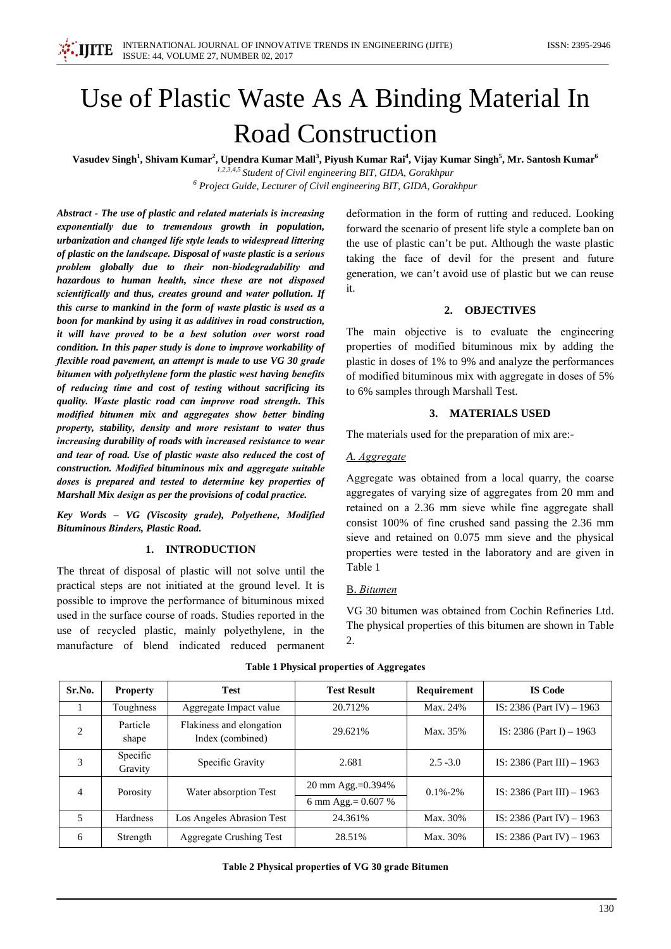

# Use of Plastic Waste As A Binding Material In **Road Construction**

Vasudev Singh<sup>1</sup>, Shivam Kumar<sup>2</sup>, Upendra Kumar Mall<sup>3</sup>, Piyush Kumar Rai<sup>4</sup>, Vijay Kumar Singh<sup>5</sup>, Mr. Santosh Kumar<sup>6</sup>

1,2,3,4,5 Student of Civil engineering BIT, GIDA, Gorakhpur  $6$  Project Guide, Lecturer of Civil engineering BIT, GIDA, Gorakhpur

Abstract - The use of plastic and related materials is increasing exponentially due to tremendous growth in population, urbanization and changed life style leads to widespread littering of plastic on the landscape. Disposal of waste plastic is a serious problem globally due to their non-biodegradability and hazardous to human health, since these are not disposed scientifically and thus, creates ground and water pollution. If this curse to mankind in the form of waste plastic is used as a boon for mankind by using it as additives in road construction, it will have proved to be a best solution over worst road condition. In this paper study is done to improve workability of flexible road pavement, an attempt is made to use VG 30 grade bitumen with polyethylene form the plastic west having benefits of reducing time and cost of testing without sacrificing its quality. Waste plastic road can improve road strength. This modified bitumen mix and aggregates show better binding property, stability, density and more resistant to water thus increasing durability of roads with increased resistance to wear and tear of road. Use of plastic waste also reduced the cost of construction. Modified bituminous mix and aggregate suitable doses is prepared and tested to determine key properties of Marshall Mix design as per the provisions of codal practice.

Key Words - VG (Viscosity grade), Polyethene, Modified **Bituminous Binders, Plastic Road,** 

# 1. INTRODUCTION

The threat of disposal of plastic will not solve until the practical steps are not initiated at the ground level. It is possible to improve the performance of bituminous mixed used in the surface course of roads. Studies reported in the use of recycled plastic, mainly polyethylene, in the manufacture of blend indicated reduced permanent

deformation in the form of rutting and reduced. Looking forward the scenario of present life style a complete ban on the use of plastic can't be put. Although the waste plastic taking the face of devil for the present and future generation, we can't avoid use of plastic but we can reuse it.

#### 2. OBJECTIVES

The main objective is to evaluate the engineering properties of modified bituminous mix by adding the plastic in doses of 1% to 9% and analyze the performances of modified bituminous mix with aggregate in doses of 5% to 6% samples through Marshall Test.

## 3. MATERIALS USED

The materials used for the preparation of mix are:-

#### A. Aggregate

Aggregate was obtained from a local quarry, the coarse aggregates of varying size of aggregates from 20 mm and retained on a 2.36 mm sieve while fine aggregate shall consist 100% of fine crushed sand passing the 2.36 mm sieve and retained on 0.075 mm sieve and the physical properties were tested in the laboratory and are given in Table 1

# **B.** Bitumen

VG 30 bitumen was obtained from Cochin Refineries Ltd. The physical properties of this bitumen are shown in Table 2.

| Sr.No.         | <b>Property</b>     | <b>Test</b>                                  | <b>Test Result</b>    | Requirement   | <b>IS Code</b>                |  |
|----------------|---------------------|----------------------------------------------|-----------------------|---------------|-------------------------------|--|
|                | Toughness           | Aggregate Impact value                       | 20.712%               | Max. 24%      | IS: 2386 (Part IV) $-1963$    |  |
| $\overline{2}$ | Particle<br>shape   | Flakiness and elongation<br>Index (combined) | 29.621%               | Max. 35%      | IS: $2386$ (Part I) $-1963$   |  |
| 3              | Specific<br>Gravity | Specific Gravity                             | 2.681                 | $2.5 - 3.0$   | IS: $2386$ (Part III) $-1963$ |  |
| 4              | Porosity            | Water absorption Test                        | 20 mm Agg.=0.394%     | $0.1\% - 2\%$ | IS: $2386$ (Part III) $-1963$ |  |
|                |                     |                                              | 6 mm Agg. = $0.607\%$ |               |                               |  |
| 5              | <b>Hardness</b>     | Los Angeles Abrasion Test                    | 24.361%               | Max. 30%      | IS: $2386$ (Part IV) - 1963   |  |
| 6              | Strength            | <b>Aggregate Crushing Test</b>               | 28.51%                | Max. 30%      | IS: $2386$ (Part IV) - 1963   |  |

#### **Table 1 Physical properties of Aggregates**

Table 2 Physical properties of VG 30 grade Bitumen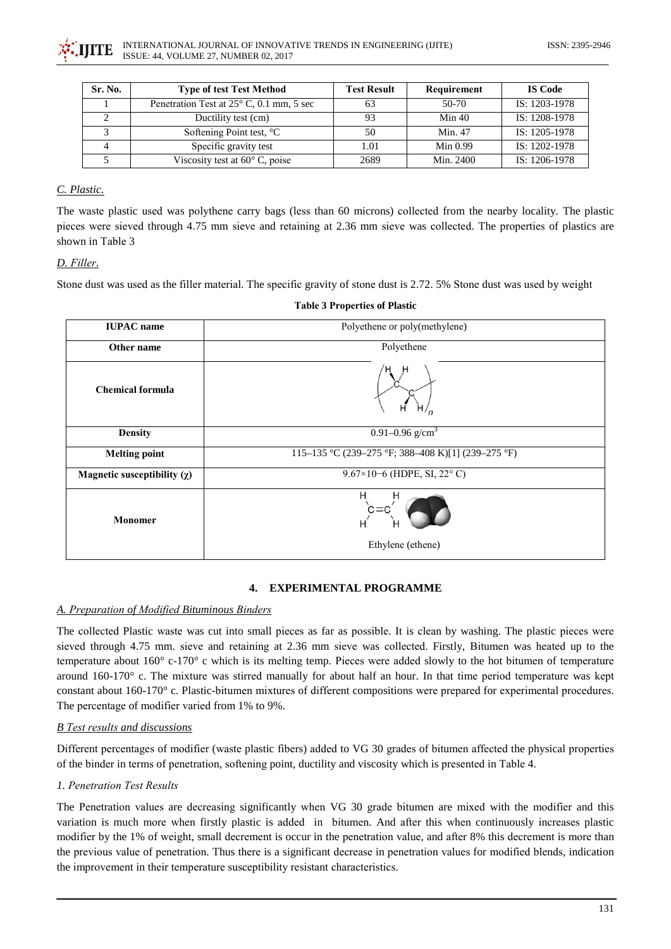

| Sr. No. | <b>Type of test Test Method</b>                   | <b>Test Result</b> | Requirement | <b>IS Code</b> |
|---------|---------------------------------------------------|--------------------|-------------|----------------|
|         | Penetration Test at $25^{\circ}$ C, 0.1 mm, 5 sec |                    | 50-70       | IS: 1203-1978  |
|         | Ductility test (cm)                               | 93                 | Min 40      | IS: 1208-1978  |
|         | Softening Point test, °C                          | 50                 | Min. 47     | IS: 1205-1978  |
|         | Specific gravity test                             | 1.01               | Min $0.99$  | IS: 1202-1978  |
|         | Viscosity test at $60^{\circ}$ C, poise           | 2689               | Min. 2400   | IS: 1206-1978  |

# C. Plastic.

The waste plastic used was polythene carry bags (less than 60 microns) collected from the nearby locality. The plastic pieces were sieved through 4.75 mm sieve and retaining at 2.36 mm sieve was collected. The properties of plastics are shown in Table 3

# D. Filler.

Stone dust was used as the filler material. The specific gravity of stone dust is 2.72.5% Stone dust was used by weight

| <b>IUPAC</b> name                | Polyethene or poly(methylene)                      |  |  |  |
|----------------------------------|----------------------------------------------------|--|--|--|
| Other name                       | Polyethene                                         |  |  |  |
| <b>Chemical formula</b>          | н                                                  |  |  |  |
| <b>Density</b>                   | 0.91–0.96 g/cm <sup>3</sup>                        |  |  |  |
| <b>Melting point</b>             | 115–135 °C (239–275 °F; 388–408 K)[1] (239–275 °F) |  |  |  |
| Magnetic susceptibility $(\chi)$ | 9.67×10-6 (HDPE, SI, 22 $^{\circ}$ C)              |  |  |  |
| <b>Monomer</b>                   | Н<br>н<br>Ethylene (ethene)                        |  |  |  |

#### **Table 3 Properties of Plastic**

# 4. EXPERIMENTAL PROGRAMME

#### A. Preparation of Modified Bituminous Binders

The collected Plastic waste was cut into small pieces as far as possible. It is clean by washing. The plastic pieces were sieved through 4.75 mm, sieve and retaining at 2.36 mm sieve was collected. Firstly, Bitumen was heated up to the temperature about  $160^{\circ}$  c-170° c which is its melting temp. Pieces were added slowly to the hot bitumen of temperature around  $160-170^{\circ}$  c. The mixture was stirred manually for about half an hour. In that time period temperature was kept constant about 160-170° c. Plastic-bitumen mixtures of different compositions were prepared for experimental procedures. The percentage of modifier varied from 1% to 9%.

# **B** Test results and discussions

Different percentages of modifier (waste plastic fibers) added to VG 30 grades of bitumen affected the physical properties of the binder in terms of penetration, softening point, ductility and viscosity which is presented in Table 4.

# 1 Penetration Test Results

The Penetration values are decreasing significantly when VG 30 grade bitumen are mixed with the modifier and this variation is much more when firstly plastic is added in bitumen. And after this when continuously increases plastic modifier by the 1% of weight, small decrement is occur in the penetration value, and after 8% this decrement is more than the previous value of penetration. Thus there is a significant decrease in penetration values for modified blends, indication the improvement in their temperature susceptibility resistant characteristics.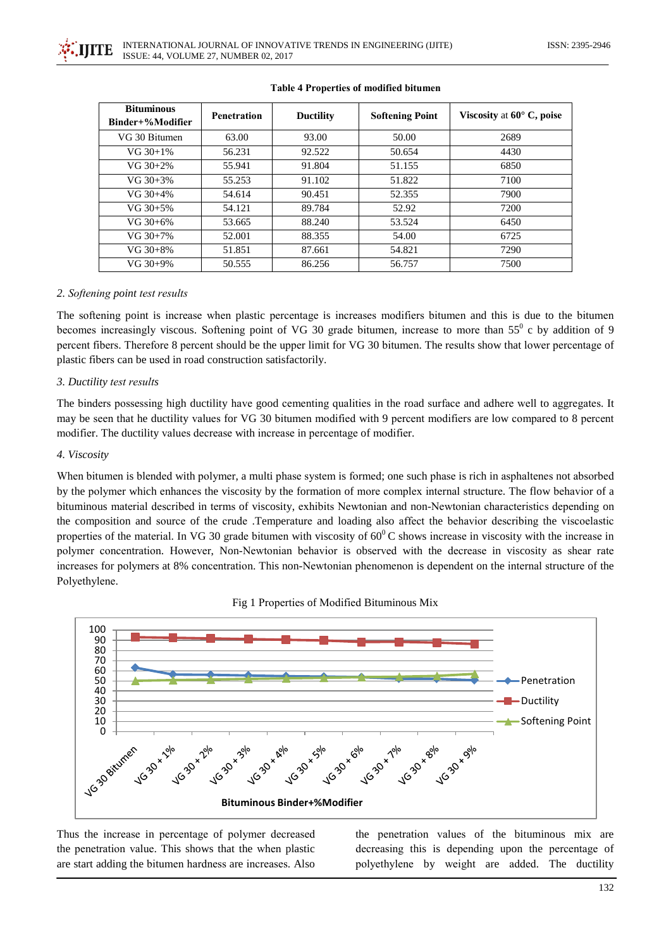

| <b>Bituminous</b><br>Binder+%Modifier | <b>Penetration</b> | <b>Ductility</b> | <b>Softening Point</b> | Viscosity at $60^\circ$ C, poise |
|---------------------------------------|--------------------|------------------|------------------------|----------------------------------|
| VG 30 Bitumen                         | 63.00              | 93.00            | 50.00                  | 2689                             |
| $VG 30+1%$                            | 56.231             | 92.522           | 50.654                 | 4430                             |
| $VG 30+2%$                            | 55.941             | 91.804           | 51.155                 | 6850                             |
| $VG 30+3%$                            | 55.253             | 91.102           | 51.822                 | 7100                             |
| $VG 30+4%$                            | 54.614             | 90.451           | 52.355                 | 7900                             |
| $VG 30+5%$                            | 54.121             | 89.784           | 52.92                  | 7200                             |
| $VG 30+6%$                            | 53.665             | 88.240           | 53.524                 | 6450                             |
| $VG 30+7\%$                           | 52.001             | 88.355           | 54.00                  | 6725                             |
| $VG 30+8\%$                           | 51.851             | 87.661           | 54.821                 | 7290                             |
| $VG 30+9%$                            | 50.555             | 86.256           | 56.757                 | 7500                             |

#### **Table 4 Properties of modified bitumen**

# 2. Softening point test results

The softening point is increase when plastic percentage is increases modifiers bitumen and this is due to the bitumen becomes increasingly viscous. Softening point of VG 30 grade bitumen, increase to more than  $55^\circ$  c by addition of 9 percent fibers. Therefore 8 percent should be the upper limit for VG 30 bitumen. The results show that lower percentage of plastic fibers can be used in road construction satisfactorily.

#### 3. Ductility test results

The binders possessing high ductility have good cementing qualities in the road surface and adhere well to aggregates. It may be seen that he ductility values for VG 30 bitumen modified with 9 percent modifiers are low compared to 8 percent modifier. The ductility values decrease with increase in percentage of modifier.

#### 4. Viscosity

When bitumen is blended with polymer, a multi phase system is formed; one such phase is rich in asphaltenes not absorbed by the polymer which enhances the viscosity by the formation of more complex internal structure. The flow behavior of a bituminous material described in terms of viscosity, exhibits Newtonian and non-Newtonian characteristics depending on the composition and source of the crude. Temperature and loading also affect the behavior describing the viscoelastic properties of the material. In VG 30 grade bitumen with viscosity of  $60^{\circ}$ C shows increase in viscosity with the increase in polymer concentration. However, Non-Newtonian behavior is observed with the decrease in viscosity as shear rate increases for polymers at 8% concentration. This non-Newtonian phenomenon is dependent on the internal structure of the Polyethylene.



Fig 1 Properties of Modified Bituminous Mix

Thus the increase in percentage of polymer decreased the penetration value. This shows that the when plastic are start adding the bitumen hardness are increases. Also

the penetration values of the bituminous mix are decreasing this is depending upon the percentage of polyethylene by weight are added. The ductility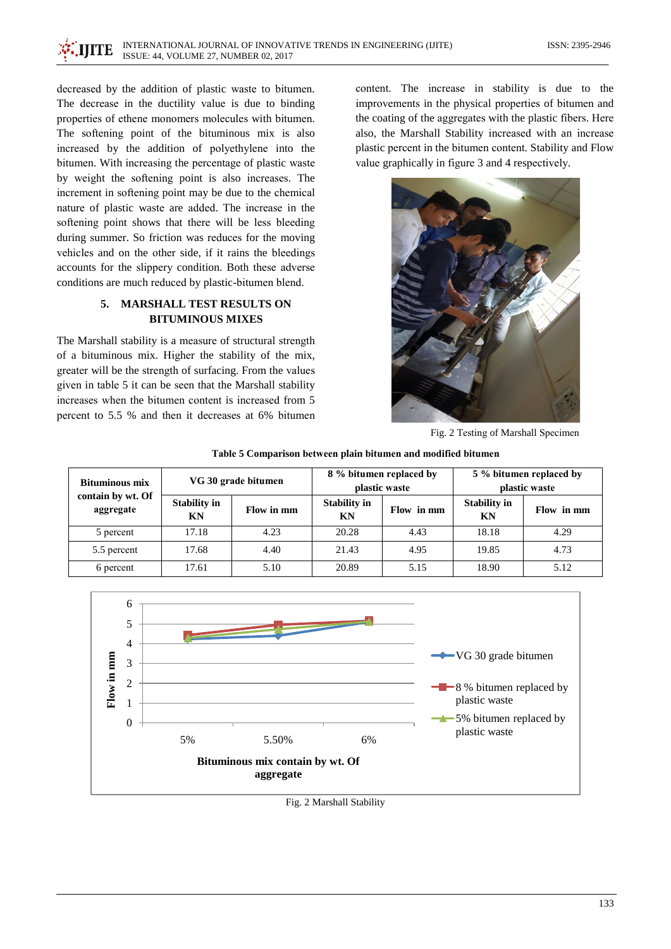decreased by the addition of plastic waste to bitumen. The decrease in the ductility value is due to binding properties of ethene monomers molecules with bitumen. The softening point of the bituminous mix is also increased by the addition of polyethylene into the bitumen. With increasing the percentage of plastic waste by weight the softening point is also increases. The increment in softening point may be due to the chemical nature of plastic waste are added. The increase in the softening point shows that there will be less bleeding during summer. So friction was reduces for the moving vehicles and on the other side, if it rains the bleedings accounts for the slippery condition. Both these adverse conditions are much reduced by plastic-bitumen blend.

# 5. MARSHALL TEST RESULTS ON **BITUMINOUS MIXES**

The Marshall stability is a measure of structural strength of a bituminous mix. Higher the stability of the mix, greater will be the strength of surfacing. From the values given in table 5 it can be seen that the Marshall stability increases when the bitumen content is increased from 5 percent to 5.5 % and then it decreases at 6% bitumen

content. The increase in stability is due to the improvements in the physical properties of bitumen and the coating of the aggregates with the plastic fibers. Here also, the Marshall Stability increased with an increase plastic percent in the bitumen content. Stability and Flow value graphically in figure 3 and 4 respectively.



Fig. 2 Testing of Marshall Specimen

| <b>Bituminous mix</b>          | VG 30 grade bitumen       |            | 8 % bitumen replaced by<br>plastic waste |            | 5 % bitumen replaced by<br>plastic waste |            |
|--------------------------------|---------------------------|------------|------------------------------------------|------------|------------------------------------------|------------|
| contain by wt. Of<br>aggregate | <b>Stability in</b><br>KN | Flow in mm | <b>Stability in</b><br>KN                | Flow in mm | <b>Stability in</b><br>KN                | Flow in mm |
| 5 percent                      | 17.18                     | 4.23       | 20.28                                    | 4.43       | 18.18                                    | 4.29       |
| 5.5 percent                    | 17.68                     | 4.40       | 21.43                                    | 4.95       | 19.85                                    | 4.73       |
| 6 percent                      | 17.61                     | 5.10       | 20.89                                    | 5.15       | 18.90                                    | 5.12       |

Table 5 Comparison between plain bitumen and modified bitumen



Fig. 2 Marshall Stability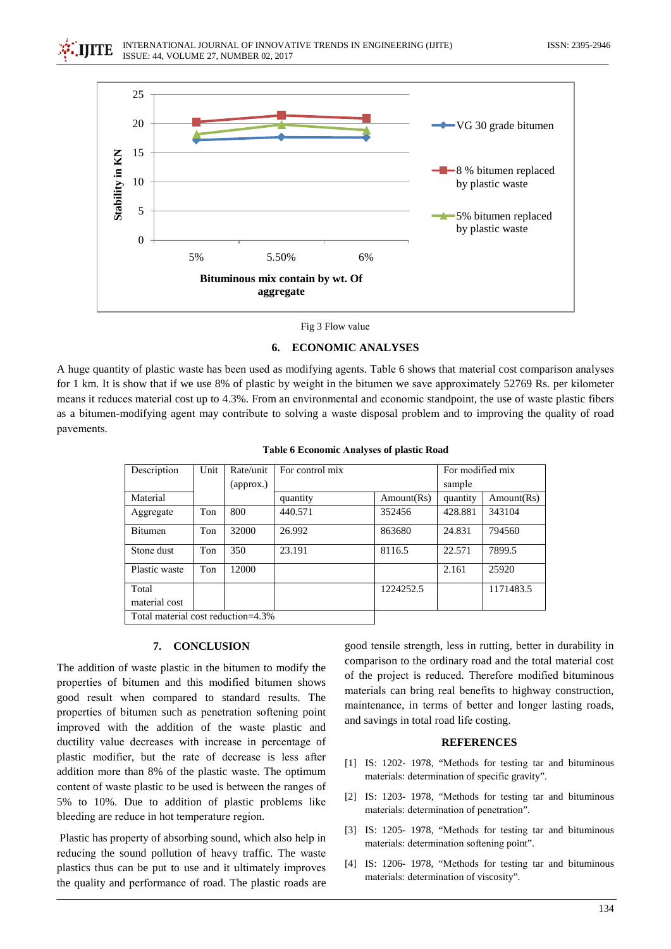

Fig 3 Flow value

#### **6. ECONOMIC ANALYSES**

A huge quantity of plastic waste has been used as modifying agents. Table 6 shows that material cost comparison analyses for 1 km. It is show that if we use 8% of plastic by weight in the bitumen we save approximately 52769 Rs. per kilometer means it reduces material cost up to 4.3%. From an environmental and economic standpoint, the use of waste plastic fibers as a bitumen-modifying agent may contribute to solving a waste disposal problem and to improving the quality of road pavements.

| Description                        | Unit | Rate/unit | For control mix |            | For modified mix |            |
|------------------------------------|------|-----------|-----------------|------------|------------------|------------|
|                                    |      | (approx.) |                 |            | sample           |            |
| Material                           |      |           | quantity        | Amount(Rs) | quantity         | Amount(Rs) |
| Aggregate                          | Ton  | 800       | 440.571         | 352456     | 428.881          | 343104     |
| Bitumen                            | Ton  | 32000     | 26.992          | 863680     | 24.831           | 794560     |
| Stone dust                         | Ton  | 350       | 23.191          | 8116.5     | 22.571           | 7899.5     |
| Plastic waste                      | Ton  | 12000     |                 |            | 2.161            | 25920      |
| Total                              |      |           |                 | 1224252.5  |                  | 1171483.5  |
| material cost                      |      |           |                 |            |                  |            |
| Total material cost reduction=4.3% |      |           |                 |            |                  |            |

**Table 6 Economic Analyses of plastic Road** 

#### 7. CONCLUSION

The addition of waste plastic in the bitumen to modify the properties of bitumen and this modified bitumen shows good result when compared to standard results. The properties of bitumen such as penetration softening point improved with the addition of the waste plastic and ductility value decreases with increase in percentage of plastic modifier, but the rate of decrease is less after addition more than 8% of the plastic waste. The optimum content of waste plastic to be used is between the ranges of 5% to 10%. Due to addition of plastic problems like bleeding are reduce in hot temperature region.

Plastic has property of absorbing sound, which also help in reducing the sound pollution of heavy traffic. The waste plastics thus can be put to use and it ultimately improves the quality and performance of road. The plastic roads are good tensile strength, less in rutting, better in durability in comparison to the ordinary road and the total material cost of the project is reduced. Therefore modified bituminous materials can bring real benefits to highway construction, maintenance, in terms of better and longer lasting roads, and savings in total road life costing.

#### **REFERENCES**

- [1] IS: 1202-1978, "Methods for testing tar and bituminous materials: determination of specific gravity".
- [2] IS: 1203-1978, "Methods for testing tar and bituminous materials: determination of penetration".
- [3] IS: 1205-1978, "Methods for testing tar and bituminous materials: determination softening point".
- [4] IS: 1206-1978, "Methods for testing tar and bituminous materials: determination of viscosity".